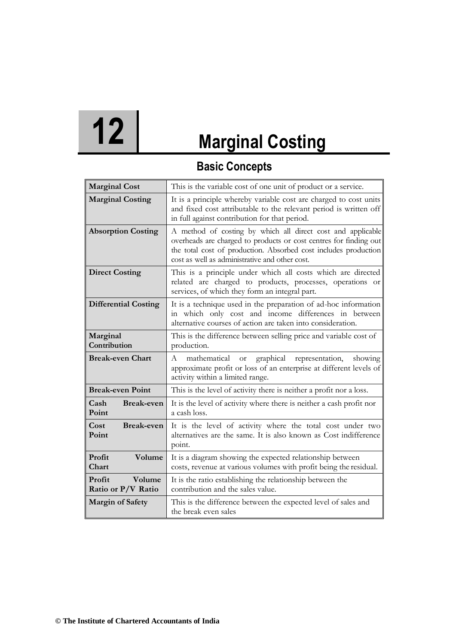# **12 Marginal Costing**

## **Basic Concepts**

| <b>Marginal Cost</b>                   | This is the variable cost of one unit of product or a service.                                                                                                                                                                                        |
|----------------------------------------|-------------------------------------------------------------------------------------------------------------------------------------------------------------------------------------------------------------------------------------------------------|
| <b>Marginal Costing</b>                | It is a principle whereby variable cost are charged to cost units<br>and fixed cost attributable to the relevant period is written off<br>in full against contribution for that period.                                                               |
| <b>Absorption Costing</b>              | A method of costing by which all direct cost and applicable<br>overheads are charged to products or cost centres for finding out<br>the total cost of production. Absorbed cost includes production<br>cost as well as administrative and other cost. |
| <b>Direct Costing</b>                  | This is a principle under which all costs which are directed<br>related are charged to products, processes, operations or<br>services, of which they form an integral part.                                                                           |
| <b>Differential Costing</b>            | It is a technique used in the preparation of ad-hoc information<br>in which only cost and income differences in between<br>alternative courses of action are taken into consideration.                                                                |
| Marginal<br>Contribution               | This is the difference between selling price and variable cost of<br>production.                                                                                                                                                                      |
| <b>Break-even Chart</b>                | graphical representation,<br>mathematical<br>A<br>showing<br>$_{\rm{or}}$<br>approximate profit or loss of an enterprise at different levels of<br>activity within a limited range.                                                                   |
| <b>Break-even Point</b>                | This is the level of activity there is neither a profit nor a loss.                                                                                                                                                                                   |
| <b>Break-even</b><br>Cash<br>Point     | It is the level of activity where there is neither a cash profit nor<br>a cash loss.                                                                                                                                                                  |
| <b>Break-even</b><br>Cost<br>Point     | It is the level of activity where the total cost under two<br>alternatives are the same. It is also known as Cost indifference<br>point.                                                                                                              |
| Profit<br>Volume<br>Chart              | It is a diagram showing the expected relationship between<br>costs, revenue at various volumes with profit being the residual.                                                                                                                        |
| Profit<br>Volume<br>Ratio or P/V Ratio | It is the ratio establishing the relationship between the<br>contribution and the sales value.                                                                                                                                                        |
| <b>Margin of Safety</b>                | This is the difference between the expected level of sales and<br>the break even sales                                                                                                                                                                |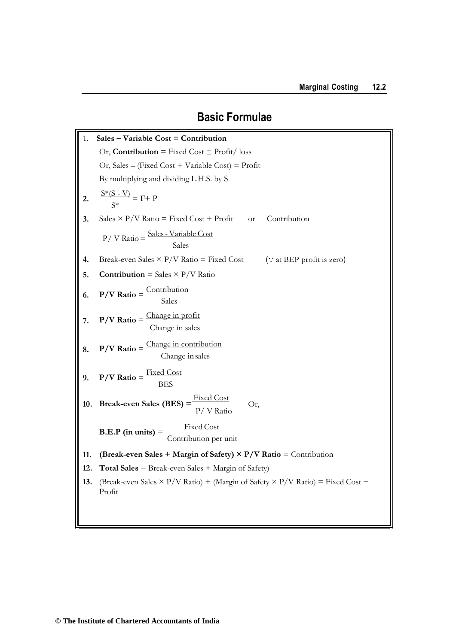# **Basic Formulae**

| 1.  | Sales - Variable Cost = Contribution                                                                   |  |  |  |
|-----|--------------------------------------------------------------------------------------------------------|--|--|--|
|     | Or, Contribution = Fixed Cost $\pm$ Profit/loss                                                        |  |  |  |
|     | Or, Sales – (Fixed Cost + Variable Cost) = Profit                                                      |  |  |  |
|     | By multiplying and dividing L.H.S. by S                                                                |  |  |  |
| 2.  | $\frac{S*(S-V)}{S*} = F + P$                                                                           |  |  |  |
| 3.  | Sales $\times$ P/V Ratio = Fixed Cost + Profit<br>Contribution<br><b>or</b>                            |  |  |  |
|     | $P / V$ Ratio = $\frac{\text{Sales} - \text{Variable Cost}}{\text{Sales}}$                             |  |  |  |
| 4.  | Break-even Sales $\times$ P/V Ratio = Fixed Cost (: at BEP profit is zero)                             |  |  |  |
| 5.  | <b>Contribution</b> = Sales $\times$ P/V Ratio                                                         |  |  |  |
| 6.  | $P/V$ Ratio = $\frac{\text{Continuation}}{\text{Sales}}$                                               |  |  |  |
| 7.  | $P/V$ Ratio = $\frac{\text{Change in profit}}{\text{Change in sales}}$                                 |  |  |  |
| 8.  | $P/V$ Ratio = $\frac{\text{Change in contribution}}{\text{Change in sales}}$                           |  |  |  |
|     | 9. $P/V$ Ratio = $\frac{Fixed\ Cost}{BES}$                                                             |  |  |  |
| 10. | <b>Break-even Sales (BES)</b> = $\frac{\text{Fixed Cost}}{\text{P}/\text{V Ratio}}$<br>Or,             |  |  |  |
|     | <b>B.E.P</b> (in units) $=$ $\frac{\text{Fixed Cost}}{\text{Continuation per unit}}$                   |  |  |  |
| 11. | (Break-even Sales + Margin of Safety) $\times$ P/V Ratio = Contribution                                |  |  |  |
| 12. | <b>Total Sales</b> = Break-even Sales + Margin of Safety)                                              |  |  |  |
| 13. | (Break-even Sales $\times$ P/V Ratio) + (Margin of Safety $\times$ P/V Ratio) = Fixed Cost +<br>Profit |  |  |  |
|     |                                                                                                        |  |  |  |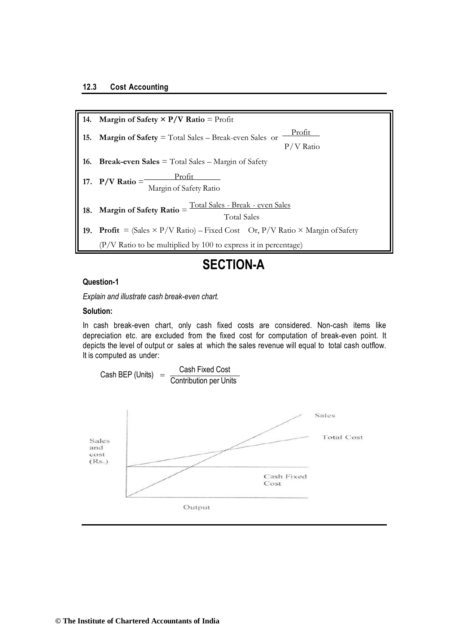Total Sales **19.** Profit =  $(Sales \times P/V Ratio) - Fixed Cost$  Or,  $P/V Ratio \times Margin$  of Safety (P/V Ratio to be multiplied by 100 to express it in percentage) **18.** Margin of Safety Ratio  $=$   $\frac{\text{Total Sales - Break - even Sales}}{\text{Total State}}$ Margin of Safety Ratio 17.  $P/V$  **Ratio** = 17.  $P/V$  Ratio =  $\frac{Profit}{15.6 \times 10^{-11}}$ **14. Margin of Safety**  $\times$  **P/V Ratio** = Profit **15. Margin of Safety** = Total Sales – Break-even Sales or  $\frac{\text{Profit}}{\text{Profit}}$ P/V Ratio **16. Break-even Sales** = Total Sales – Margin of Safety

## **SECTION-A**

#### **Question-1**

*Explain and illustrate cash break-even chart.*

#### **Solution:**

In cash break-even chart, only cash fixed costs are considered. Non-cash items like depreciation etc. are excluded from the fixed cost for computation of break-even point. It depicts the level of output or sales at which the sales revenue will equal to total cash outflow. It is computed as under:

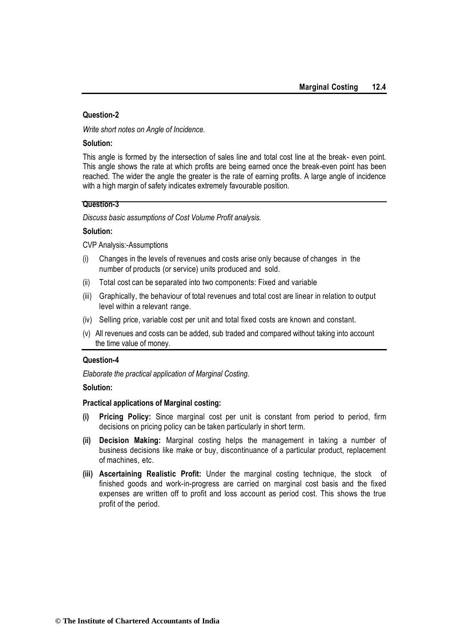#### **Question-2**

*Write short notes on Angle of Incidence.*

#### **Solution:**

This angle is formed by the intersection of sales line and total cost line at the break- even point. This angle shows the rate at which profits are being earned once the break-even point has been reached. The wider the angle the greater is the rate of earning profits. A large angle of incidence with a high margin of safety indicates extremely favourable position.

#### **Question-3**

*Discuss basic assumptions of Cost Volume Profit analysis.*

#### **Solution:**

CVP Analysis:-Assumptions

- (i) Changes in the levels of revenues and costs arise only because of changes in the number of products (or service) units produced and sold.
- (ii) Total cost can be separated into two components: Fixed and variable
- (iii) Graphically, the behaviour of total revenues and total cost are linear in relation to output level within a relevant range.
- (iv) Selling price, variable cost per unit and total fixed costs are known and constant.
- (v) All revenues and costs can be added, sub traded and compared without taking into account the time value of money.

#### **Question-4**

*Elaborate the practical application of Marginal Costing.*

#### **Solution:**

#### **Practical applications of Marginal costing:**

- **(i) Pricing Policy:** Since marginal cost per unit is constant from period to period, firm decisions on pricing policy can be taken particularly in short term.
- **(ii) Decision Making:** Marginal costing helps the management in taking a number of business decisions like make or buy, discontinuance of a particular product, replacement of machines, etc.
- **(iii) Ascertaining Realistic Profit:** Under the marginal costing technique, the stock of finished goods and work-in-progress are carried on marginal cost basis and the fixed expenses are written off to profit and loss account as period cost. This shows the true profit of the period.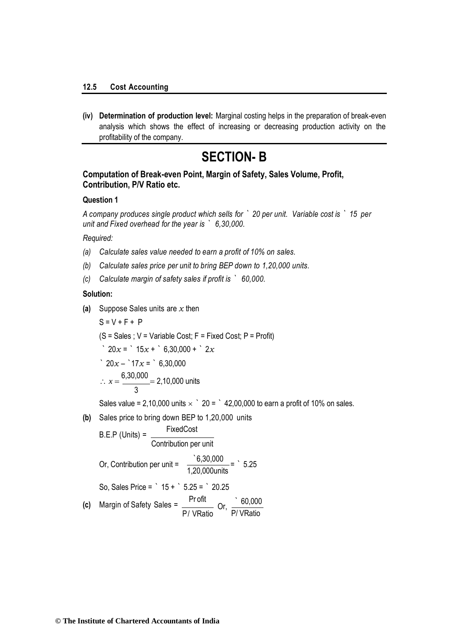**(iv) Determination of production level:** Marginal costing helps in the preparation of break-even analysis which shows the effect of increasing or decreasing production activity on the profitability of the company.

## **SECTION- B**

#### **Computation of Break-even Point, Margin of Safety, Sales Volume, Profit, Contribution, P/V Ratio etc.**

#### **Question 1**

*A company produces single product which sells for ` 20 per unit. Variable cost is ` 15 per unit and Fixed overhead for the year is ` 6,30,000.*

#### *Required:*

- *(a) Calculate sales value needed to earn a profit of 10% on sales.*
- *(b) Calculate sales price per unit to bring BEP down to 1,20,000 units.*
- *(c) Calculate margin of safety sales if profit is ` 60,000.*

#### **Solution:**

**(a)** Suppose Sales units are *x* then

$$
S = V + F + P
$$
\n
$$
(S = Sales; V = Variable Cost; F = Fixed Cost; P = Profit)
$$
\n
$$
20x = 15x + 6,30,000 + 2x
$$
\n
$$
20x - 17x = 6,30,000
$$
\n
$$
x = \frac{6,30,000}{3} = 2,10,000 \text{ units}
$$
\n
$$
Sales value = 2,10,000 \text{ units} \times 20 = 142,00,000 \text{ to earn a profit of 10% on sales.}
$$

**(b)** Sales price to bring down BEP to 1,20,000 units

B.E.P (Unix) = 
$$
\frac{\text{FixedCost}}{\text{Contribution per unit}}
$$
Or, Contribution per unit = 
$$
\frac{6,30,000}{1,20,000 \text{ units}} = 5.25
$$
So, Sales Price =  $15 + 5.25 = 20.25$   
(c) Margin of Safety Sales = 
$$
\frac{\text{Profit}}{\text{P/ VRatio}}
$$
Or, 
$$
\frac{60,000}{\text{P/ VRatio}}
$$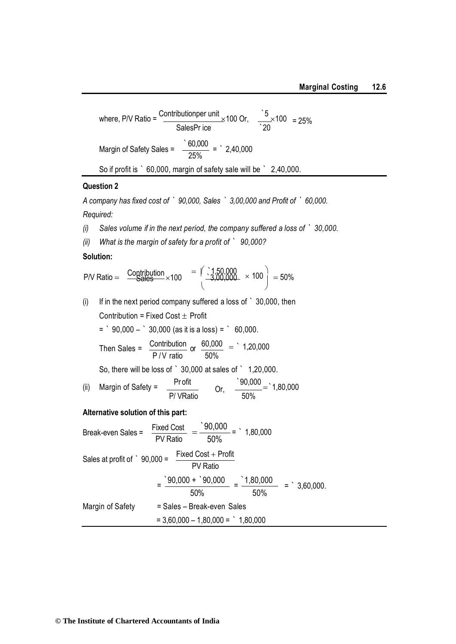where, PV Ratio = 
$$
\frac{\text{Contributionper unit}}{\text{SalesPr ice}} \times 100 \text{ Or}, \frac{5}{20} \times 100 = 25\%
$$
  
Margin of Safety Sales = 
$$
\frac{60,000}{25\%} = 2,40,000
$$
  
So if profit is ' 60,000, margin of safety sale will be ' 2,40,000.

#### **Question 2**

*A company has fixed cost of ` 90,000, Sales ` 3,00,000 and Profit of ` 60,000. Required:*

- *(i) Sales volume if in the next period, the company suffered a loss of ` 30,000.*
- *(ii) What is the margin of safety for a profit of ` 90,000?*

#### **Solution:**

$$
PN Ratio = \frac{Contribution}{Sales} \times 100 = \left(\begin{array}{c} 1,50,000 \\ -3,00,000 \end{array} \right) \times 100 = 50\%
$$

(i) If in the next period company suffered a loss of  $\degree$  30,000, then Contribution = Fixed Cost  $\pm$  Profit  $=$   $90,000 30,000$  (as it is a loss) =  $60,000$ . Then Sales =  $\frac{\text{Contribution}}{\text{maximum}}$  or  $\frac{60,000}{\text{maximum}}$  = 1,20,000 P/V ratio 50% So, there will be loss of ` 30,000 at sales of ` 1,20,000.

(ii) Margin of Safety = 
$$
\frac{Profit}{P/VRatio}
$$
 Or, 
$$
\frac{90,000}{50\%} = 1,80,000
$$

#### **Alternative solution of this part:**

Break-even Sales = 
$$
\frac{\text{Fixed Cost}}{\text{PV Ratio}} = \frac{90,000}{50\%} = \cdot 1,80,000
$$

\nSales at profit of  $\cdot$  90,000 = 
$$
\frac{\text{Fixed Cost} + \text{Profit}}{\text{PV Ratio}}
$$

\n
$$
= \frac{90,000 + \cdot 90,000}{50\%} = \frac{1,80,000}{50\%} = \cdot 3,60,000.
$$
\nMargin of Safety = Sales – Break-even Sales

\n
$$
= 3,60,000 - 1,80,000 = \cdot 1,80,000
$$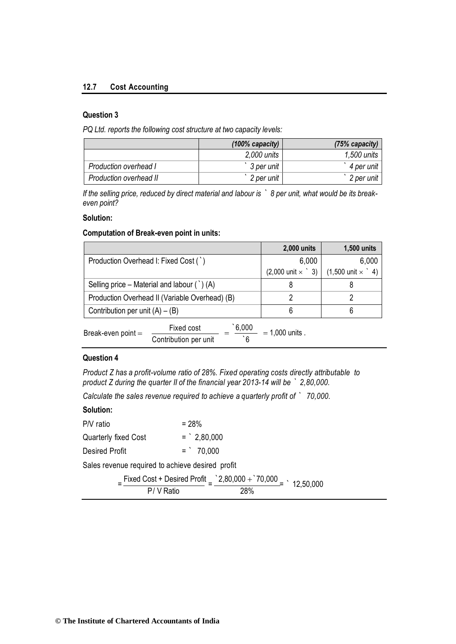#### **12.7 Cost Accounting**

#### **Question 3**

*PQ Ltd. reports the following cost structure at two capacity levels:*

|                        | $(100\%$ capacity) | $(75%$ capacity) |
|------------------------|--------------------|------------------|
|                        | $2,000$ units      | 1,500 units      |
| Production overhead I  | 3 per unit         | 4 per unit       |
| Production overhead II | 2 per unit         | 2 per unit       |

*If the selling price, reduced by direct material and labour is ` 8 per unit, what would be its breakeven point?*

#### **Solution:**

#### **Computation of Break-even point in units:**

|                                                       |                                                             | 2,000 units                     | 1,500 units                     |  |
|-------------------------------------------------------|-------------------------------------------------------------|---------------------------------|---------------------------------|--|
| Production Overhead I: Fixed Cost (`)                 |                                                             | 6,000                           | 6,000                           |  |
|                                                       |                                                             | $(2,000 \text{ unit} \times$ 3) | $(1,500 \text{ unit} \times$ 4) |  |
| Selling price – Material and labour $( \dot{\ })$ (A) |                                                             | 8                               |                                 |  |
| Production Overhead II (Variable Overhead) (B)        |                                                             |                                 |                                 |  |
| Contribution per unit $(A) - (B)$                     |                                                             | 6                               |                                 |  |
| Break-even point $=$                                  | 6,000<br>Fixed cost<br>$\degree$ 6<br>Contribution per unit | $= 1,000$ units.                |                                 |  |

#### **Question 4**

*Product Z has a profit-volume ratio of 28%. Fixed operating costs directly attributable to product Z during the quarter II of the financial year 2013-14 will be ` 2,80,000.*

*Calculate the sales revenue required to achieve a quarterly profit of ` 70,000.*

#### **Solution:**

| P/V ratio                                        | $= 28%$      |
|--------------------------------------------------|--------------|
| Quarterly fixed Cost                             | $=$ 2.80,000 |
| <b>Desired Profit</b>                            | $=$ 70.000   |
| Sales revenue required to achieve desired profit |              |

|          | Fixed Cost + Desired Profit $=\frac{2,80,000 + 70,000}{2}$ + 12,50,000 |  |
|----------|------------------------------------------------------------------------|--|
| P/VRatio | 28%                                                                    |  |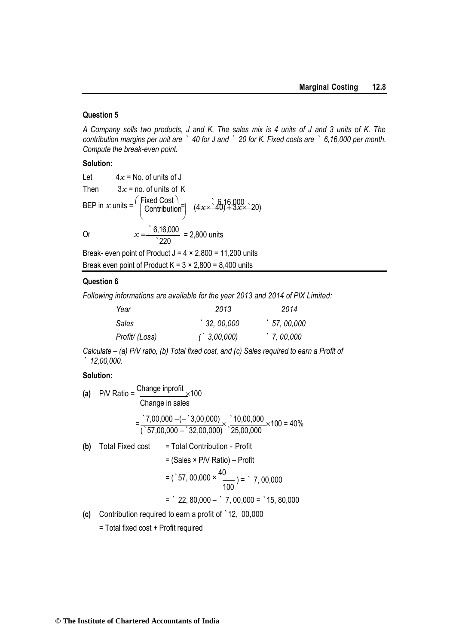#### **Question 5**

*A Company sells two products, J and K. The sales mix is 4 units of J and 3 units of K. The contribution margins per unit are ` 40 for J and ` 20 for K. Fixed costs are ` 6,16,000 per month. Compute the break-even point.*

#### **Solution:**

Let 
$$
4x = No
$$
 of units of J  
\nThen  $3x = no$  of units of K  
\nBEP in x units =  $\begin{pmatrix} Fixed Cost \\ Control \end{pmatrix}$   $(4x \times 40) + 3x \times 20$   
\nOr  $x = \frac{6,16,000}{220} = 2,800$  units

Break- even point of Product  $J = 4 \times 2,800 = 11,200$  units Break even point of Product  $K = 3 \times 2,800 = 8,400$  units

#### **Question 6**

*Following informations are available for the year 2013 and 2014 of PIX Limited:* 

| Year           | 2013                       | 2014                  |
|----------------|----------------------------|-----------------------|
| Sales          | $^{\backprime}$ 32, 00,000 | $^{\circ}$ 57, 00,000 |
| Profit/ (Loss) | $($ , 3,00,000)            | $\dot{ }$ 7, 00,000   |

*Calculate – (a) P/V ratio, (b) Total fixed cost, and (c) Sales required to earn a Profit of ` 12,00,000.*

#### **Solution:**

(a) P/V Ratio = 
$$
\frac{\text{Change input of}}{\text{Change in sales}}
$$
  
\n=  $\frac{7,00,000 - (-3,00,000)}{32,00,000} \times \frac{10,00,000}{25,00,000} \times 100 = 40\%$   
\n(b) Total Fixed cost = Total Contribution - Profit  
\n= (Sales × P/V Ratio) - Profit  
\n= (°57, 00,000 ×  $\frac{40}{100}$ ) = °7, 00,000  
\n= °22, 80,000 - °7, 00,000 = °15, 80,000

**(c)** Contribution required to earn a profit of `12, 00,000

= Total fixed cost + Profit required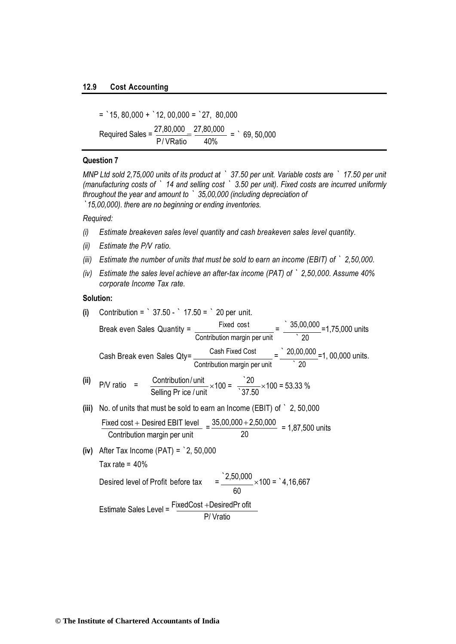#### **12.9 Cost Accounting**

 $=$  15, 80,000 + 12, 00,000 = 27, 80,000 Required Sales =  $\frac{27,80,000}{7,000} = \frac{27,80,000}{7,000} = 0.69,50,000$ P/ VRatio 40%

#### **Question 7**

*MNP Ltd sold 2,75,000 units of its product at ` 37.50 per unit. Variable costs are ` 17.50 per unit (manufacturing costs of ` 14 and selling cost ` 3.50 per unit). Fixed costs are incurred uniformly throughout the year and amount to ` 35,00,000 (including depreciation of `15,00,000). there are no beginning or ending inventories.* 

#### *Required:*

- *(i) Estimate breakeven sales level quantity and cash breakeven sales level quantity.*
- *(ii) Estimate the P/V ratio.*
- *(iii) Estimate the number of units that must be sold to earn an income (EBIT) of ` 2,50,000.*
- *(iv) Estimate the sales level achieve an after-tax income (PAT) of ` 2,50,000. Assume 40% corporate Income Tax rate.*

#### **Solution:**

(i) Continbution = ' 37.50 - ' 17.50 = ' 20 per unit.  
\nBreak even Sales Quantity = 
$$
\frac{Fixed cost}{Continbution margin per unit}
$$
 =  $\frac{35,00,000}{20}$  = 1,75,000 units  
\nCash Break even Sales  $Qty = \frac{Cash Fixed Cost}{Continbution margin per unit}$  =  $\frac{20,00,000}{20}$  = 1, 00,000 units.  
\n(ii) P/V ratio =  $\frac{Continbution/unit}{Selling Pr ice/unit} \times 100 = \frac{20}{37.50} \times 100 = 53.33%$   
\n(iii) No. of units that must be sold to earn an Income (EBIT) of ' 2, 50,000  
\nFixed cost + Describe EBIT level =  $\frac{35,00,000 + 2,50,000}{20}$  = 1,87,500 units  
\n(iv) After Tax Income (PATH) = '2, 50,000  
\nTax rate = 40%  
\nDesired level of Profit before tax =  $\frac{2,50,000}{60} \times 100$  = '4,16,667  
\nEstimate Sales Level =  $\frac{FixedCost +DesiredPr ofit}{SUSU}$ 

P/ Vratio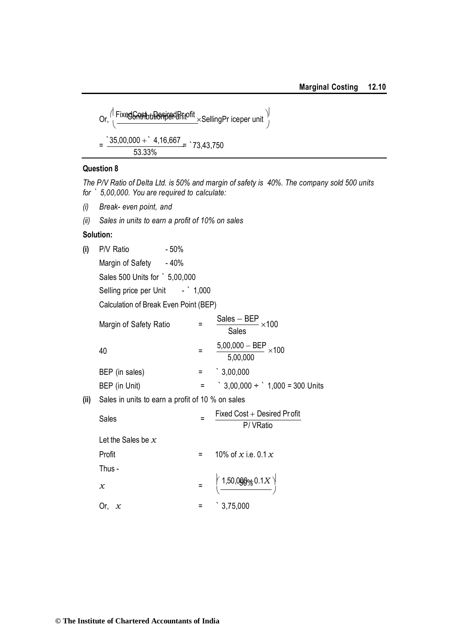Or, FixedCost DesiredPr ofit SellingPr iceper unit Contributionper unit = `35,00,000 ` 4,16,667 = `73,43,750 53.33%

#### **Question 8**

*The P/V Ratio of Delta Ltd. is 50% and margin of safety is 40%. The company sold 500 units for ` 5,00,000. You are required to calculate:*

- *(i) Break- even point, and*
- *(ii) Sales in units to earn a profit of 10% on sales*

#### **Solution:**

| (i) | P/V Ratio        | $-50%$ |
|-----|------------------|--------|
|     | Margin of Safety | - 40%  |

Sales 500 Units for ` 5,00,000

Selling price per Unit - ` 1,000

Calculation of Break Even Point (BEP)

| $\frac{\text{Sales} - \text{BEP}}{\times 100}$<br><b>Sales</b> |
|----------------------------------------------------------------|
| $\frac{5,00,000 - BEP}{\times 100}$<br>5,00,000                |
| $\degree$ 3,00,000                                             |
| $\degree$ 3,00,000 ÷ $\degree$ 1,000 = 300 Units               |
|                                                                |

**(ii)** Sales in units to earn a profit of 10 % on sales

| Sales                |     | Fixed $Cost +$ Desired Pr of it<br>P/VRatio                          |
|----------------------|-----|----------------------------------------------------------------------|
| Let the Sales be $x$ |     |                                                                      |
| Profit               | $=$ | 10% of x i.e. 0.1 $x$                                                |
| Thus -               |     |                                                                      |
| x                    |     | $= \left( \frac{1,50,0000 \times 0.1 X}{\sqrt{1,500000000}} \right)$ |
|                      |     | $\degree$ 3,75,000                                                   |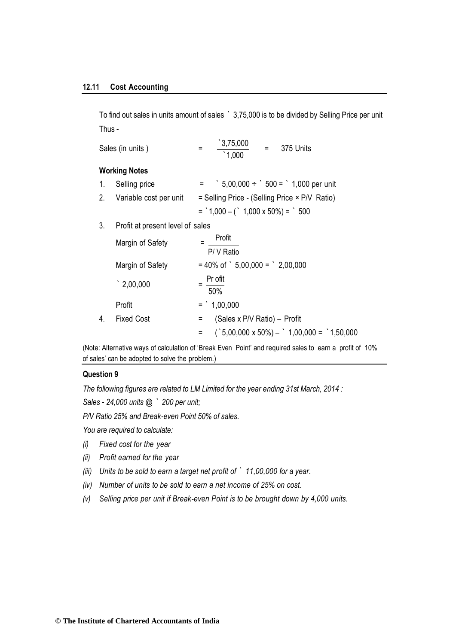To find out sales in units amount of sales ` 3,75,000 is to be divided by Selling Price per unit Thus -

|    | Sales (in units)                 | $\frac{3,75,000}{1,000}$<br>$= 375$ Units<br>$=$                              |
|----|----------------------------------|-------------------------------------------------------------------------------|
|    | <b>Working Notes</b>             |                                                                               |
| 1. | Selling price                    | $=$ $\frac{1}{2}$ 5,00,000 ÷ $\frac{1}{2}$ 500 = $\frac{1}{2}$ 1,000 per unit |
|    | 2. Variable cost per unit        | = Selling Price - (Selling Price × P/V Ratio)                                 |
|    |                                  | $=$ 1,000 - ( 1,000 x 50%) = 500                                              |
| 3. | Profit at present level of sales |                                                                               |
|    | Margin of Safety                 | Profit<br>P/ V Ratio                                                          |
|    | Margin of Safety                 | $= 40\% \text{ of }$ 5,00,000 = $\degree$ 2,00,000                            |
|    | $\degree$ 2,00,000               | $=$ Pr ofit<br>50%                                                            |
|    | Profit                           | $=$ 1,00,000                                                                  |
| 4. | <b>Fixed Cost</b>                | = (Sales x P/V Ratio) – Profit                                                |
|    |                                  | $($ 5,00,000 x 50%) - $\dot{ }$ 1,00,000 = $\dot{ }$ 1,50,000<br>$=$ $\sim$   |

(Note: Alternative ways of calculation of 'Break Even Point' and required sales to earn a profit of 10% of sales' can be adopted to solve the problem.)

#### **Question 9**

*The following figures are related to LM Limited for the year ending 31st March, 2014 :* 

*Sales - 24,000 units @ ` 200 per unit;*

*P/V Ratio 25% and Break-even Point 50% of sales.* 

*You are required to calculate:*

- *(i) Fixed cost for the year*
- *(ii) Profit earned for the year*
- *(iii) Units to be sold to earn a target net profit of ` 11,00,000 for a year.*
- *(iv) Number of units to be sold to earn a net income of 25% on cost.*
- *(v) Selling price per unit if Break-even Point is to be brought down by 4,000 units.*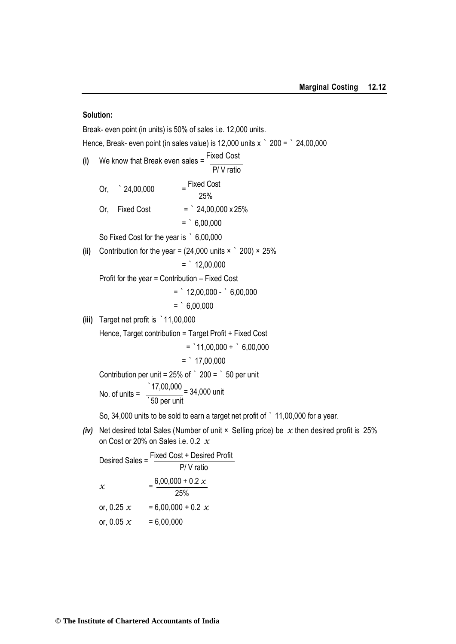#### **Solution:**

Break- even point (in units) is 50% of sales i.e. 12,000 units. Hence, Break- even point (in sales value) is 12,000 units x  $\degree$  200 =  $\degree$  24,00,000 **(i)** We know that Break even sales =  $\frac{\text{Fixed Cost}}{\text{?}}$ P/ V ratio Or,  $^{\circ}$  24,00,000 Fixed Cost 25% Or, Fixed Cost =  $24,00,000 \times 25\%$  $=$   $6,00,000$ So Fixed Cost for the year is ` 6,00,000 **(ii)** Contribution for the year =  $(24,000 \text{ units} \times \degree 200) \times 25\%$  $=$   $12,00,000$ Profit for the year = Contribution – Fixed Cost  $=$   $12,00,000 6,00,000$  $=$   $6.00.000$ **(iii)** Target net profit is `11,00,000 Hence, Target contribution = Target Profit + Fixed Cost  $=$  11,00,000 +  $\degree$  6,00,000  $=$   $\degree$  17,00,000 Contribution per unit =  $25\%$  of  $\degree$  200 =  $\degree$  50 per unit No. of units =  $\frac{17,00,000}{170,000}$  = 34,000 units `50 per unit So, 34,000 units to be sold to earn a target net profit of ` 11,00,000 for a year. *(iv)* Net desired total Sales (Number of unit × Selling price) be *x* then desired profit is 25%

on Cost or 20% on Sales i.e. 0.2 *x*

Desired Sales = Fixed Cost + Desired Profit P/ V ratio  $x = \frac{6,00,000 + 0.2 \times}{0.000}$ 25% or,  $0.25 x = 6,00,000 + 0.2 x$ or,  $0.05 x = 6,00,000$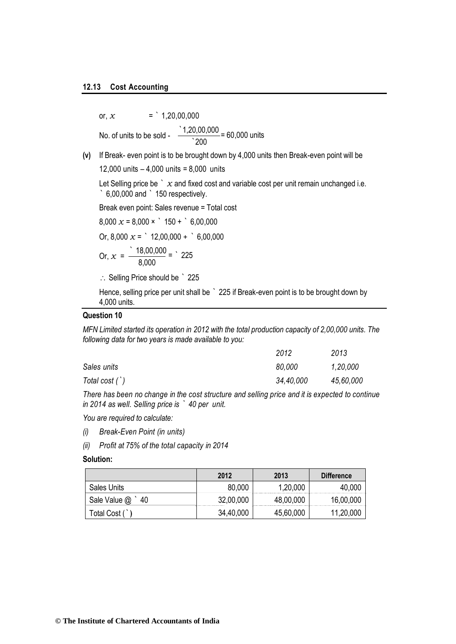or,  $x = 1,20,00,000$ No. of units to be sold -  $\frac{1,20,00,000}{1,20,000}$  = 60,000 units  $\overline{200}$ 

**(v)** If Break- even point is to be brought down by 4,000 units then Break-even point will be

12,000 units – 4,000 units = 8,000 units

Let Selling price be  $\dot{x}$  and fixed cost and variable cost per unit remain unchanged i.e. ` 6,00,000 and ` 150 respectively.

Break even point: Sales revenue = Total cost

 $8,000 \times = 8,000 \times 150 + 6,00,000$ 

Or,  $8,000 \times =$   $\degree$  12,00,000 +  $\degree$  6,00,000

Or, 
$$
x = \frac{18,00,000}{8,000} = 225
$$

 $\therefore$  Selling Price should be  $\degree$  225

Hence, selling price per unit shall be ` 225 if Break-even point is to be brought down by 4,000 units.

#### **Question 10**

*MFN Limited started its operation in 2012 with the total production capacity of 2,00,000 units. The following data for two years is made available to you:*

|                  | 2012      | 2013      |
|------------------|-----------|-----------|
| Sales units      | 80,000    | 1,20,000  |
| Total cost $(')$ | 34,40,000 | 45,60,000 |

*There has been no change in the cost structure and selling price and it is expected to continue in 2014 as well. Selling price is ` 40 per unit.*

*You are required to calculate:*

- *(i) Break-Even Point (in units)*
- *(ii) Profit at 75% of the total capacity in 2014*

#### **Solution:**

|                      | 2012      | 2013      | Difference |
|----------------------|-----------|-----------|------------|
| <b>Sales Units</b>   | 80,000    | 1,20,000  | 40,000     |
| Sale Value $@$<br>40 | 32,00,000 | 48,00,000 | 16,00,000  |
| Total Cost (         | 34,40,000 | 45,60,000 | 11,20,000  |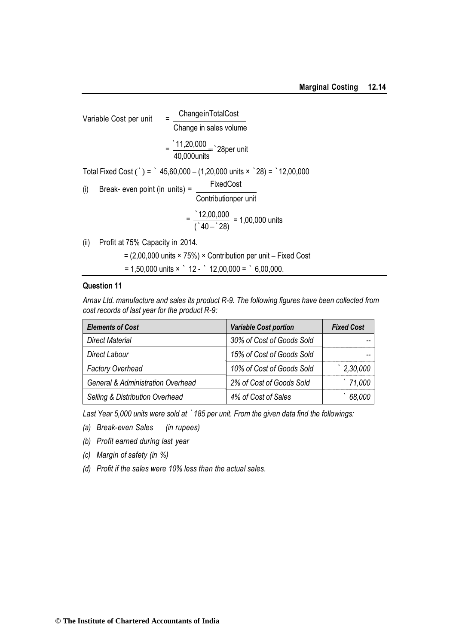| Variable Cost per unit | $=$                                          | Change in TotalCost |                                                                                 |
|------------------------|----------------------------------------------|---------------------|---------------------------------------------------------------------------------|
|                        |                                              |                     | Change in sales volume                                                          |
|                        |                                              |                     | $=\frac{11,20,000}{40,000 \text{units}}$ 28 per unit                            |
|                        |                                              |                     | Total Fixed Cost (`) = ` 45,60,000 - (1,20,000 units $\times$ `28) = `12,00,000 |
| (i)                    | Break- even point (in units) = $\frac{1}{2}$ |                     | FixedCost                                                                       |
|                        |                                              |                     | Contributionper unit                                                            |
|                        |                                              |                     | $=\frac{12,00,000}{(140-28)}$ = 1,00,000 units                                  |
| (ii)                   | Profit at 75% Capacity in 2014.              |                     |                                                                                 |
|                        |                                              |                     |                                                                                 |

 $= (2,00,000 \text{ units} \times 75%) \times$  Contribution per unit – Fixed Cost

 $= 1,50,000$  units  $\times$   $\degree$  12 -  $\degree$  12,00,000 =  $\degree$  6,00,000.

#### **Question 11**

*Arnav Ltd. manufacture and sales its product R-9. The following figures have been collected from cost records of last year for the product R-9:*

| <b>Elements of Cost</b>                      | <b>Variable Cost portion</b> | <b>Fixed Cost</b> |
|----------------------------------------------|------------------------------|-------------------|
| <b>Direct Material</b>                       | 30% of Cost of Goods Sold    |                   |
| Direct Labour                                | 15% of Cost of Goods Sold    |                   |
| <b>Factory Overhead</b>                      | 10% of Cost of Goods Sold    | 2,30,000          |
| <b>General &amp; Administration Overhead</b> | 2% of Cost of Goods Sold     | '71,000           |
| Selling & Distribution Overhead              | 4% of Cost of Sales          | 68,000            |

*Last Year 5,000 units were sold at `185 per unit. From the given data find the followings:*

- *(a) Break-even Sales (in rupees)*
- *(b) Profit earned during last year*
- *(c) Margin of safety (in %)*
- *(d) Profit if the sales were 10% less than the actual sales.*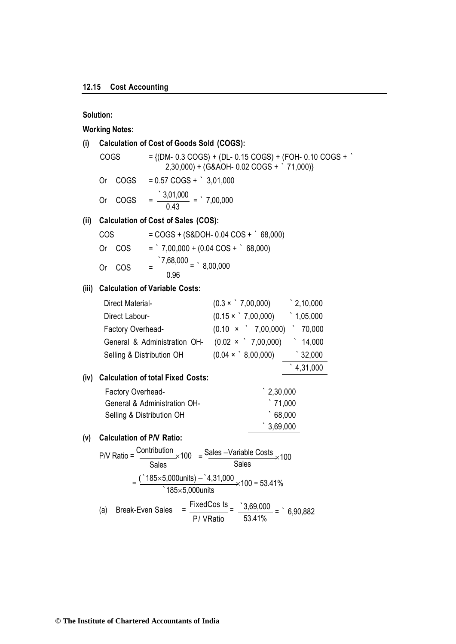#### **Solution:**

#### **Working Notes:**

## **(i) Calculation of Cost of Goods Sold (COGS):**

| COGS    | $=$ {(DM- 0.3 COGS) + (DL- 0.15 COGS) + (FOH- 0.10 COGS + )<br>$2,30,000$ + (G&AOH- 0.02 COGS + `71,000)} |
|---------|-----------------------------------------------------------------------------------------------------------|
| Or COGS | $= 0.57 \text{ COGS} + \degree 3.01.000$                                                                  |

Or COGS =  $\frac{3,01,000}{0.10}$ 0.43  $=$   $\degree$  7,00,000

#### **(ii) Calculation of Cost of Sales (COS):**

| COS. |        | $=$ COGS + (S&DOH- 0.04 COS + $\degree$ 68,000)     |
|------|--------|-----------------------------------------------------|
|      | Or COS | $=$ 7,00,000 + (0.04 COS + $68,000$ )               |
|      | Or COS | $=$ $\frac{7,68,000}{1}$ = $\cdot$ 8,00,000<br>0.96 |

#### **(iii) Calculation of Variable Costs:**

|      | Direct Material-                         | $(0.3 \times 7,00,000)$          | $\degree$ 2,10,000 |
|------|------------------------------------------|----------------------------------|--------------------|
|      | Direct Labour-                           | $(0.15 \times$ 7,00,000)         | 1,05,000           |
|      | Factory Overhead-                        | $(0.10 \times 7,00,000)$         | 70,000             |
|      | General & Administration OH-             | $(0.02 \times 7,00,000)$         | 14,000             |
|      | Selling & Distribution OH                | $(0.04 \times \degree 8,00,000)$ | $\degree$ 32,000   |
|      |                                          |                                  | 4,31,000           |
| (iv) | <b>Calculation of total Fixed Costs:</b> |                                  |                    |
|      | Factory Overhead-                        | $\degree$ 2,30,000               |                    |
|      | General & Administration OH-             | $\degree$ 71,000                 |                    |
|      | Selling & Distribution OH                | 68,000                           |                    |
|      |                                          | 3,69,000                         |                    |

#### **(v) Calculation of P/V Ratio:**

$$
PVV Ratio = \frac{Contribution}{Sales} \times 100 = \frac{Sales -Variable Costs}{Sales} \times 100
$$

$$
= \frac{(^185 \times 5,000 units) - ^14,31,000}{^185 \times 5,000 units} \times 100 = 53.41\%
$$
\n(a) Break-Even Sales = 
$$
\frac{FixedCos ts}{P / VRatio} = \frac{3,69,000}{53.41\%} = ^6,90,882
$$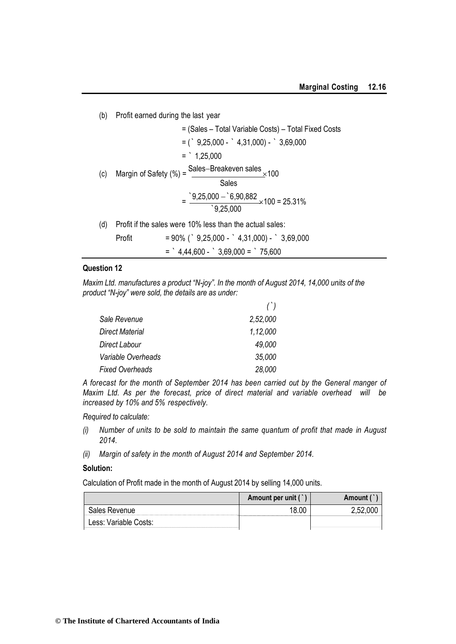| (b) | Profit earned during the last year                                                 |
|-----|------------------------------------------------------------------------------------|
|     | = (Sales - Total Variable Costs) - Total Fixed Costs                               |
|     | $=$ ( $\degree$ 9,25,000 - $\degree$ 4,31,000) - $\degree$ 3,69,000                |
|     | $=$ 1,25,000                                                                       |
| (c) | Sales-Breakeven sales $\times$ 100<br>Margin of Safety (%) =                       |
|     | Sales                                                                              |
|     | $=\frac{9,25,000 - 6,90,882}{9,25,000} \times 100 = 25.31\%$                       |
| (d) | Profit if the sales were 10% less than the actual sales:                           |
|     | $= 90\%$ ( $\degree$ 9,25,000 - $\degree$ 4,31,000) - $\degree$ 3,69,000<br>Profit |
|     | $=$ $4,44,600  3,69,000 =$ $75,600$                                                |

#### **Question 12**

*Maxim Ltd. manufactures a product "N-joy". In the month of August 2014, 14,000 units of the product "N-joy" were sold, the details are as under:*

|                        | $(\cdot)$ |
|------------------------|-----------|
| Sale Revenue           | 2,52,000  |
| <b>Direct Material</b> | 1,12,000  |
| <b>Direct Labour</b>   | 49,000    |
| Variable Overheads     | 35,000    |
| <b>Fixed Overheads</b> | 28,000    |

*A forecast for the month of September 2014 has been carried out by the General manger of Maxim Ltd. As per the forecast, price of direct material and variable overhead will be increased by 10% and 5% respectively.*

*Required to calculate:*

- *(i) Number of units to be sold to maintain the same quantum of profit that made in August 2014.*
- *(ii) Margin of safety in the month of August 2014 and September 2014.*

#### **Solution:**

Calculation of Profit made in the month of August 2014 by selling 14,000 units.

|                       | Amount per unit (`) | <b>Amount</b> |
|-----------------------|---------------------|---------------|
| 3ales Revenue         |                     |               |
| Less: Variable Costs: |                     |               |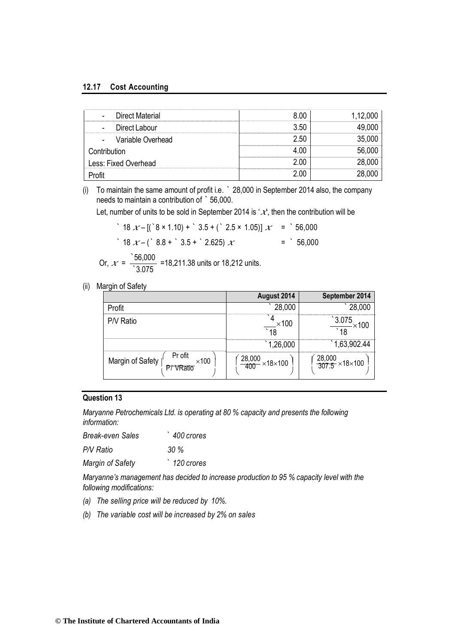#### **12.17 Cost Accounting**

| - Direct Material    |       | 1,12,000 |
|----------------------|-------|----------|
| Direct Labour        | 3.50  |          |
| Variable Overhead    | 2.50  | 35,000   |
| Contribution         |       | 56,00u   |
| Less: Fixed Overhead | 2 U.C | 28,00C   |
|                      |       |          |

(i) To maintain the same amount of profit i.e. ` 28,000 in September 2014 also, the company needs to maintain a contribution of ` 56,000.

Let, number of units to be sold in September 2014 is  $\mathcal{X}$ , then the contribution will be

| $18 \mathcal{X} - [(8 \times 1.10) + 3.5 + (2.5 \times 1.05)] \mathcal{X} = 56,000$ |            |
|-------------------------------------------------------------------------------------|------------|
| $\degree$ 18 $x$ – ( $\degree$ 8.8 + $\degree$ 3.5 + $\degree$ 2.625) $x$           | $=$ 56,000 |

Or, 
$$
x = \frac{56,000}{3.075}
$$
 =18,211.38 units or 18,212 units.

(ii) Margin of Safety

|                                                         | August 2014                     | September 2014                    |
|---------------------------------------------------------|---------------------------------|-----------------------------------|
| Profit                                                  | 28,000                          | 28,000                            |
| P/V Ratio                                               | $\times$ 100<br>18              | 3.075<br>∩∩≻ ⊳                    |
|                                                         | 1,26,000                        | 1,63,902.44                       |
| Pr ofit<br>Margin of Safety  <br>$\times$ 100<br>VRatio | $\frac{28,000}{400}$ × 18 × 100 | $\frac{28,000}{307.5}$ × 18 × 100 |

#### **Question 13**

*Maryanne Petrochemicals Ltd. is operating at 80 % capacity and presents the following information:*

| <b>Break-even Sales</b> | 400 crores           |
|-------------------------|----------------------|
| P/V Ratio               | $30\%$               |
| Margin of Safety        | $\degree$ 120 crores |

*Maryanne's management has decided to increase production to 95 % capacity level with the following modifications:*

- *(a) The selling price will be reduced by 10%.*
- *(b) The variable cost will be increased by 2% on sales*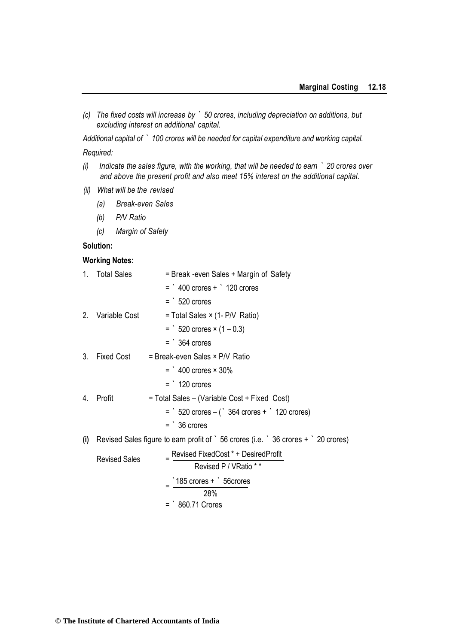*(c) The fixed costs will increase by ` 50 crores, including depreciation on additions, but excluding interest on additional capital.*

*Additional capital of ` 100 crores will be needed for capital expenditure and working capital. Required:*

- *(i) Indicate the sales figure, with the working, that will be needed to earn ` 20 crores over and above the present profit and also meet 15% interest on the additional capital.*
- *(ii) What will be the revised*
	- *(a) Break-even Sales*
	- *(b) P/V Ratio*
	- *(c) Margin of Safety*

#### **Solution:**

#### **Working Notes:**

| 1.               | <b>Total Sales</b>   | = Break -even Sales + Margin of Safety                                                                      |
|------------------|----------------------|-------------------------------------------------------------------------------------------------------------|
|                  |                      | $=$ 400 crores + $\degree$ 120 crores                                                                       |
|                  |                      | $=$ 520 crores                                                                                              |
| 2.               | Variable Cost        | = Total Sales × (1- P/V Ratio)                                                                              |
|                  |                      | $=$ 520 crores $\times$ (1 – 0.3)                                                                           |
|                  |                      | $=$ 364 crores                                                                                              |
| 3.               | Fixed Cost           | = Break-even Sales × P/V Ratio                                                                              |
|                  |                      | $=$ $\degree$ 400 crores $\times$ 30%                                                                       |
|                  |                      | $=$ 120 crores                                                                                              |
| $\overline{4}$ . | Profit               | = Total Sales – (Variable Cost + Fixed Cost)                                                                |
|                  |                      | $=$ 520 crores $-$ ( 364 crores + $\degree$ 120 crores)                                                     |
|                  |                      | $=$ 36 crores                                                                                               |
| (i)              |                      | Revised Sales figure to earn profit of $\degree$ 56 crores (i.e. $\degree$ 36 crores + $\degree$ 20 crores) |
|                  | <b>Revised Sales</b> | Revised FixedCost * + DesiredProfit                                                                         |
|                  |                      | Revised P / VRatio * *                                                                                      |
|                  |                      | $\degree$ 185 crores + $\degree$ 56 crores                                                                  |
|                  |                      | 28%                                                                                                         |
|                  |                      | $=$ 860.71 Crores                                                                                           |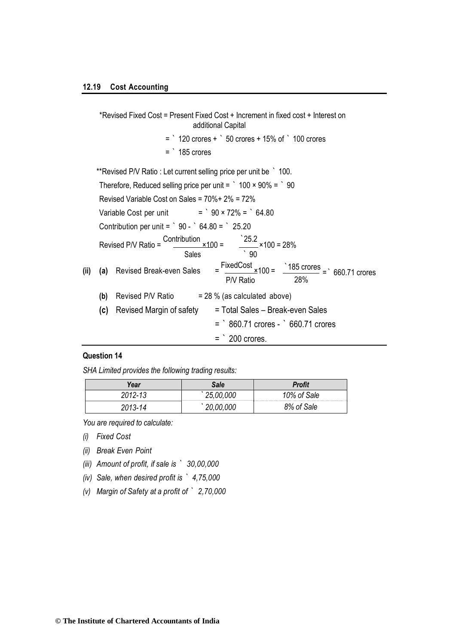\*Revised Fixed Cost = Present Fixed Cost + Increment in fixed cost + Interest on additional Capital  $=$   $\degree$  120 crores +  $\degree$  50 crores + 15% of  $\degree$  100 crores  $=$   $\degree$  185 crores \*\*Revised P/V Ratio : Let current selling price per unit be ` 100. Therefore, Reduced selling price per unit =  $\degree$  100 × 90% =  $\degree$  90 Revised Variable Cost on Sales = 70%+ 2% = 72% Variable Cost per unit  $=$   $\degree$  90 × 72% =  $\degree$  64.80 Contribution per unit =  $\degree$  90 -  $\degree$  64.80 =  $\degree$  25.20 Revised P/V Ratio =  $\frac{\text{Contribution}}{\text{200}} \times 100 =$ Sales  $\frac{25.2}{25.2}$  × 100 = 28%  $\degree$  90 **(ii) (a)** Revised Break-even Sales =  $FixedCost$   $\times$  100 = P/V Ratio  $\frac{185 \text{ crores}}{200 \text{ cm}}$  = 660.71 crores 28% **(b)** Revised P/V Ratio  $= 28 %$  (as calculated above) **(c)** Revised Margin of safety = Total Sales – Break-even Sales

= ` 860.71 crores - ` 660.71 crores

#### **Question 14**

*SHA Limited provides the following trading results:*

| /ear              | Sale | <b>Profit</b> |
|-------------------|------|---------------|
| 11919<br>. .<br>ີ |      | Sale<br>በ%    |
|                   |      | 8% of<br>Sale |

 $=$   $\degree$  200 crores.

*You are required to calculate:*

*(i) Fixed Cost*

*(ii) Break Even Point*

*(iii) Amount of profit, if sale is ` 30,00,000*

*(iv) Sale, when desired profit is ` 4,75,000*

*(v) Margin of Safety at a profit of ` 2,70,000*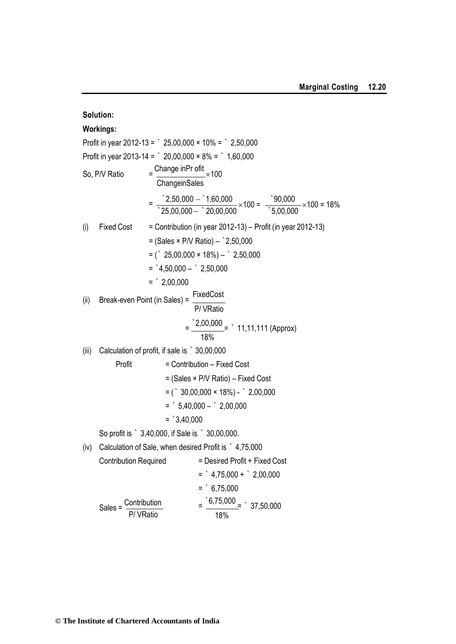**Solution: Workings:** Profit in year 2012-13 =  $\degree$  25,00,000  $\times$  10% =  $\degree$  2,50,000 Profit in year 2013-14 =  $\degree$  20,00,000  $\times$  8% =  $\degree$  1,60,000 So, P/V Ratio Change inPr ofit ×100 **ChangeinSales**  $=\frac{2,50,000 - 1,60,000}{1}$  $\degree$ 25,00,000  $\degree$  20,00,000  $\times 100 = \frac{90,000}{25,0000}$ `5,00,000  $\times$ 100 = 18% (i) Fixed Cost  $=$  Contribution (in year 2012-13) – Profit (in year 2012-13) = (Sales × P/V Ratio) – `2,50,000  $=$  (  $\degree$  25,00,000  $\times$  18%)  $\degree$  2,50,000  $=$   $4,50,000 2,50,000$  $=$   $2,00,000$ (ii) Break-even Point (in Sales) =  $\frac{\text{FixedCost}}{\text{Output}}$ P/ VRatio  $=\frac{2,00,000}{11,11,111}$  (Approx) 18% (iii) Calculation of profit, if sale is ` 30,00,000 Profit = Contribution – Fixed Cost = (Sales × P/V Ratio) – Fixed Cost  $=$  (  $\degree$  30,00,000  $\times$  18%) -  $\degree$  2,00,000  $=$   $5,40,000 2,00,000$  $=$   $3,40,000$ So profit is ` 3,40,000, if Sale is ` 30,00,000. (iv) Calculation of Sale, when desired Profit is ` 4,75,000 Contribution Required = Desired Profit + Fixed Cost  $=$   $4,75,000 +$   $2,00,000$  $=$   $6,75,000$ Sales =  $\frac{\text{Contribution}}{\text{Sum}}$ P/ VRatio  $=\frac{6,75,000}{1} = 37,50,000$ 18%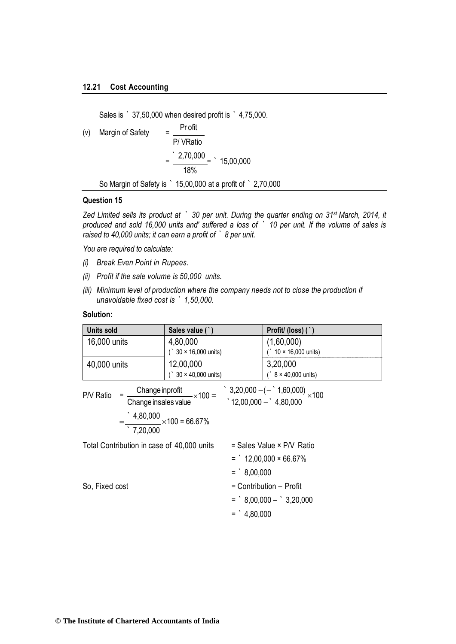Sales is ` 37,50,000 when desired profit is ` 4,75,000.

(v) Margin of Safety 
$$
= \frac{\text{Profit}}{\text{P/ VRatio}}
$$

$$
= \frac{2,70,000}{18\%} = \frac{15,00,000}{18\%}
$$
So Margin of Safety is  $15,00,000$  at a profit of  $2,70,000$ 

#### **Question 15**

*Zed Limited sells its product at ` 30 per unit. During the quarter ending on 31st March, 2014, it produced and sold 16,000 units and' suffered a loss of ` 10 per unit. If the volume of sales is raised to 40,000 units; it can earn a profit of ` 8 per unit.*

*You are required to calculate:*

- *(i) Break Even Point in Rupees.*
- *(ii) Profit if the sale volume is 50,000 units.*
- *(iii) Minimum level of production where the company needs not to close the production if unavoidable fixed cost is ` 1,50,000.*

#### **Solution:**

| <b>Units sold</b>                          | Sales value (`)                                                                                                                             | Profit/(loss)(`)              |
|--------------------------------------------|---------------------------------------------------------------------------------------------------------------------------------------------|-------------------------------|
| 16,000 units                               | 4,80,000                                                                                                                                    | (1,60,000)                    |
|                                            | $30 \times 16,000$ units)                                                                                                                   | $($ 10 $\times$ 16,000 units) |
| 40,000 units                               | 12,00,000                                                                                                                                   | 3,20,000                      |
|                                            | $30 \times 40,000$ units)                                                                                                                   | $($ 8 × 40,000 units)         |
| P/V Ratio                                  | $=\frac{\text{Change inprofit}}{\text{Change insales value}} \times 100 = \frac{3,20,000 - (-8,1,60,000)}{12,00,000 - 8,80,000} \times 100$ |                               |
| 7,20,000                                   | $=\frac{4,80,000}{1,000} \times 100 = 66.67\%$                                                                                              |                               |
| Total Contribution in case of 40,000 units |                                                                                                                                             | = Sales Value × P/V Ratio     |
|                                            |                                                                                                                                             | $=$ 12,00,000 × 66.67%        |
|                                            | $=$ 8.00.000                                                                                                                                |                               |
| So, Fixed cost                             |                                                                                                                                             | = Contribution - Profit       |
|                                            |                                                                                                                                             | $=$ $8,00,000  3,20,000$      |
|                                            | $=$ $4,80,000$                                                                                                                              |                               |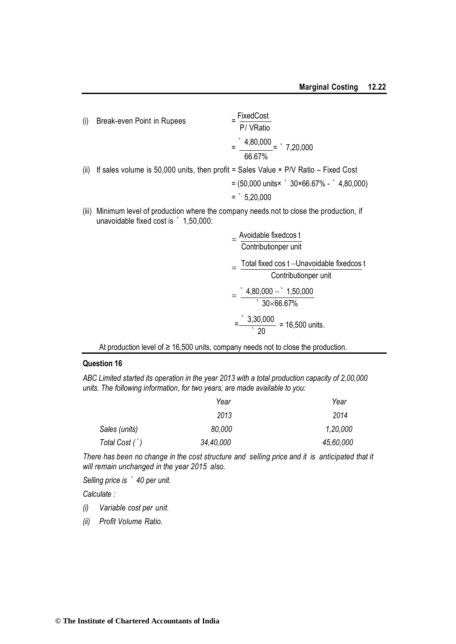(i) Break-even Point in Rupees = FixedCost P/ VRatio  $=\frac{4,80,000}{4,80,000}$  = 17,20,000 66.67%

(ii) If sales volume is 50,000 units, then profit = Sales Value  $\times$  P/V Ratio – Fixed Cost

$$
= (50,000 \text{ units} \times \degree 30 \times 66.67\% - \degree 4,80,000)
$$
  
= 
$$
= 5,20,000
$$

(iii) Minimum level of production where the company needs not to close the production, if unavoidable fixed cost is ` 1,50,000:

$$
= \frac{\text{Avoidable fixedcos t}}{\text{Contributionper unit}}
$$
\n
$$
= \frac{\text{Total fixed cos t} - \text{Unavoidable fixedcos t}}{\text{Contributionper unit}}
$$
\n
$$
= \frac{4,80,000 - 1,50,000}{30 \times 66.67\%}
$$
\n
$$
= \frac{3,30,000}{20} = 16,500 \text{ units.}
$$

At production level of  $\geq 16,500$  units, company needs not to close the production.

#### **Question 16**

*ABC Limited started its operation in the year 2013 with a total production capacity of 2,00,000 units. The following information, for two years, are made available to you:*

|                | Year      | Year      |
|----------------|-----------|-----------|
|                | 2013      | 2014      |
| Sales (units)  | 80,000    | 1,20,000  |
| Total Cost (`) | 34,40,000 | 45,60,000 |

*There has been no change in the cost structure and selling price and it is anticipated that it will remain unchanged in the year 2015 also.*

*Selling price is ` 40 per unit.* 

*Calculate :*

- *(i) Variable cost per unit.*
- *(ii) Profit Volume Ratio.*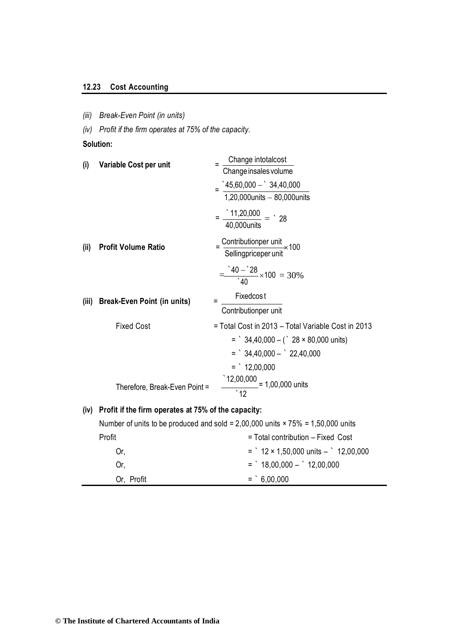### **12.23 Cost Accounting**

*(iii) Break-Even Point (in units)*

*(iv) Profit if the firm operates at 75% of the capacity.*

**Solution:**

| Variable Cost per unit                              | Change intotalcost                                                                        |
|-----------------------------------------------------|-------------------------------------------------------------------------------------------|
|                                                     | Change insales volume                                                                     |
|                                                     | $\degree$ 45,60,000 - $\degree$ 34,40,000                                                 |
|                                                     | 1,20,000units - 80,000units                                                               |
|                                                     | $=\frac{11,20,000}{40,000 \text{units}} = 28$                                             |
| <b>Profit Volume Ratio</b>                          | $=\frac{\text{Contributionper unit}}{\text{Sellingpriceper unit}} \times 100$             |
|                                                     | $\frac{40-28}{40} \times 100 = 30\%$                                                      |
|                                                     | <b>Fixedcost</b><br>Ξ                                                                     |
|                                                     | Contributionper unit                                                                      |
| <b>Fixed Cost</b>                                   | = Total Cost in 2013 - Total Variable Cost in 2013                                        |
|                                                     | $=$ 34,40,000 - ( 28 × 80,000 units)                                                      |
|                                                     | $=$ 34,40,000 $-$ 22,40,000                                                               |
|                                                     | $=$ 12,00,000                                                                             |
|                                                     |                                                                                           |
| Therefore, Break-Even Point =                       | $\frac{12,00,000}{100,000}$ = 1,00,000 units                                              |
| Profit if the firm operates at 75% of the capacity: |                                                                                           |
|                                                     | Number of units to be produced and sold = $2,00,000$ units $\times 75\%$ = 1,50,000 units |
| Profit                                              | = Total contribution - Fixed Cost                                                         |
| Or,                                                 | $=$ 12 × 1,50,000 units $-$ 12,00,000                                                     |
|                                                     | <b>Break-Even Point (in units)</b>                                                        |

Or,  $=$   $18,00,000 12,00,000$ 

Or, Profit  $=$   $\, \cdot \, 6,00,000$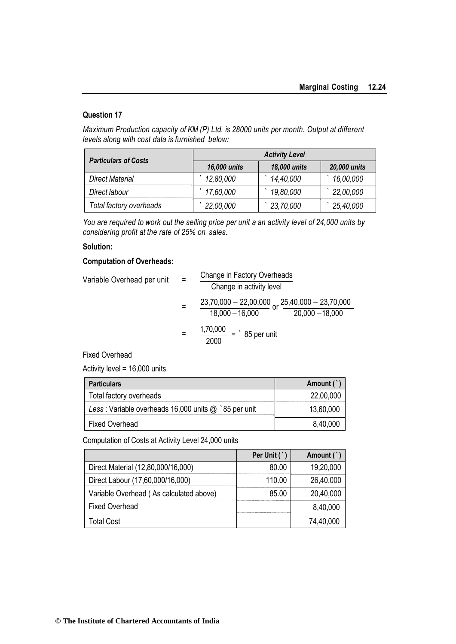#### **Question 17**

*Maximum Production capacity of KM (P) Ltd. is 28000 units per month. Output at different levels along with cost data is furnished below:*

| <b>Particulars of Costs</b> | <b>Activity Level</b> |              |              |
|-----------------------------|-----------------------|--------------|--------------|
|                             | 16,000 units          | 18,000 units | 20,000 units |
| Direct Material             | 12,80,000             | 14,40,000    | 16,00,000    |
| Direct labour               | 17,60,000             | 19,80,000    | 22,00,000    |
| Total factory overheads     | 22,00,000             | 23,70,000    | 25,40,000    |

*You are required to work out the selling price per unit a an activity level of 24,000 units by considering profit at the rate of 25% on sales.*

#### **Solution:**

#### **Computation of Overheads:**

| $=$ |                                                             |                                                                                  |
|-----|-------------------------------------------------------------|----------------------------------------------------------------------------------|
|     | Change in activity level                                    |                                                                                  |
|     | $\frac{23,70,000-22,00,000}{25,40,000-23,70,000}$           |                                                                                  |
|     |                                                             |                                                                                  |
|     | $\frac{1,70,000}{1,70,000}$ = $\degree$ 85 per unit<br>2000 |                                                                                  |
|     |                                                             | Change in Factory Overheads<br>$\frac{20,000 - 18,000}{20}$<br>$18,000 - 16,000$ |

Fixed Overhead

Activity level = 16,000 units

| <b>Particulars</b>                                     | Amount (  |
|--------------------------------------------------------|-----------|
| Total factory overheads                                | 22,00,000 |
| Less: Variable overheads 16,000 units $@$ `85 per unit | 13,60,000 |
| <b>Fixed Overhead</b>                                  | 8,40,000  |

Computation of Costs at Activity Level 24,000 units

|                                         | Per Unit $($ $)$ | Amount (  |
|-----------------------------------------|------------------|-----------|
| Direct Material (12,80,000/16,000)      | 80.00            | 19,20,000 |
| Direct Labour (17,60,000/16,000)        | 110.00           | 26,40,000 |
| Variable Overhead (As calculated above) | 85.00            | 20,40,000 |
| <b>Fixed Overhead</b>                   |                  | 8,40,000  |
| Total Cost                              |                  | 74,40,000 |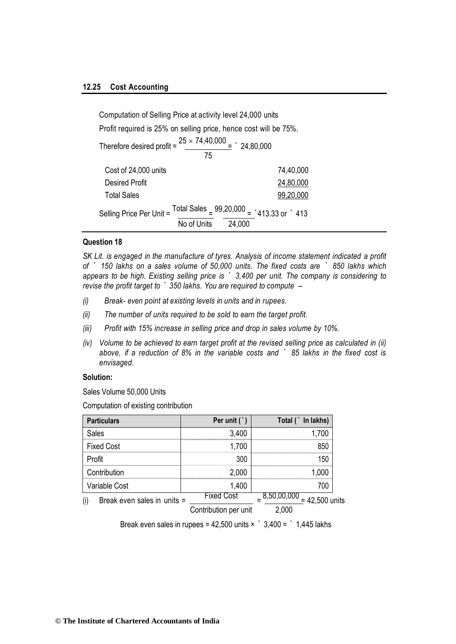#### **12.25 Cost Accounting**

| Computation of Selling Price at activity level 24,000 units                  |                                                                     |  |
|------------------------------------------------------------------------------|---------------------------------------------------------------------|--|
| Profit required is 25% on selling price, hence cost will be 75%.             |                                                                     |  |
| Therefore desired profit = $\frac{25 \times 74,40,000}{2}$ = 24,80,000<br>75 |                                                                     |  |
|                                                                              |                                                                     |  |
| Cost of 24,000 units                                                         | 74,40,000                                                           |  |
| <b>Desired Profit</b>                                                        | 24,80,000                                                           |  |
| <b>Total Sales</b>                                                           | 99,20,000                                                           |  |
| Selling Price Per Unit =                                                     | Total Sales $= 99,20,000 = 413.33$ or 1413<br>No of Units<br>24,000 |  |

#### **Question 18**

*SK Lit. is engaged in the manufacture of tyres. Analysis of income statement indicated a profit of ` 150 lakhs on a sales volume of 50,000 units. The fixed costs are ` 850 lakhs which appears to be high. Existing selling price is ` 3,400 per unit. The company is considering to revise the profit target to ` 350 lakhs. You are required to compute –*

- *(i) Break- even point at existing levels in units and in rupees.*
- *(ii) The number of units required to be sold to earn the target profit.*
- *(iii) Profit with 15% increase in selling price and drop in sales volume by 10%.*
- *(iv) Volume to be achieved to earn target profit at the revised selling price as calculated in (ii) above, if a reduction of 8% in the variable costs and ` 85 lakhs in the fixed cost is envisaged.*

#### **Solution:**

Sales Volume 50,000 Units

Computation of existing contribution

| <b>Particulars</b>                 | Per unit $($ $)$      | Total (`In lakhs)                        |
|------------------------------------|-----------------------|------------------------------------------|
| <b>Sales</b>                       | 3,400                 | 1,700                                    |
| <b>Fixed Cost</b>                  | 1,700                 | 850                                      |
| Profit                             | 300                   | 150                                      |
| Contribution                       | 2,000                 | 1,000                                    |
| Variable Cost                      | 1,400                 | 700                                      |
| (i)<br>Break even sales in units = | <b>Fixed Cost</b>     | $\frac{1}{2}$ 8,50,00,000 = 42,500 units |
|                                    | Contribution per unit | 2,000                                    |

Break even sales in rupees =  $42,500$  units  $\times$   $3,400 =$   $\cdot$  1,445 lakhs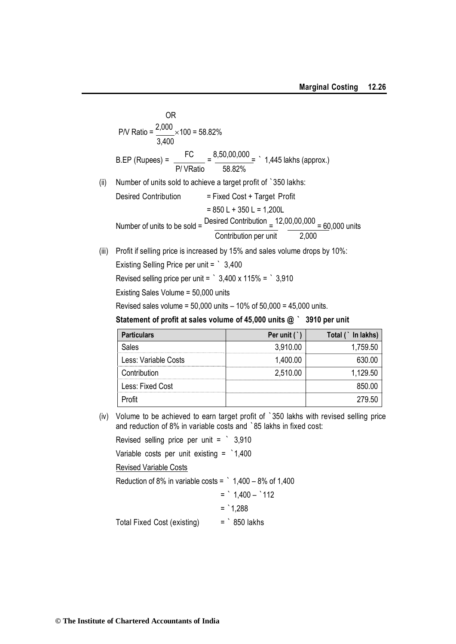OR  
\n
$$
PN Ratio = \frac{2,000}{3,400} \times 100 = 58.82\%
$$
\nB.EP (Rupees) = 
$$
\frac{FC}{P/VRatio} = \frac{8,50,00,000}{58.82\%} = \frac{1,445 \text{ lakhs (approx.)}
$$

(ii) Number of units sold to achieve a target profit of `350 lakhs:

Desired Contribution

\n
$$
= Fixed Cost + Target Profit
$$
\n
$$
= 850 L + 350 L = 1,200 L
$$
\nNumber of units to be sold

\n
$$
\frac{Desired Continution}{Continution per unit} = \frac{12,00,00,000}{2,000} = \frac{60,000}{2,000}
$$

(iii) Profit if selling price is increased by 15% and sales volume drops by 10%:

Existing Selling Price per unit = ` 3,400

Revised selling price per unit =  $\degree$  3,400 x 115% =  $\degree$  3,910

Existing Sales Volume = 50,000 units

Revised sales volume =  $50,000$  units  $-10\%$  of  $50,000 = 45,000$  units.

**Statement of profit at sales volume of 45,000 units @ ` 3910 per unit**

| <b>Particulars</b>   | Per unit $( )$ | `In lakhs)<br>Total ( |
|----------------------|----------------|-----------------------|
| Sales                | 3,910.00       | 1,759.50              |
| Less: Variable Costs | 1,400.00       | 630.00                |
| Contribution         | 2,510.00       | 1,129.50              |
| Less: Fixed Cost     |                | 850.00                |
| −rofit               |                | 279.50                |

(iv) Volume to be achieved to earn target profit of `350 lakhs with revised selling price and reduction of 8% in variable costs and `85 lakhs in fixed cost:

Revised selling price per unit = ` 3,910

Variable costs per unit existing = `1,400

Revised Variable Costs

Reduction of 8% in variable costs =  $\degree$  1,400 – 8% of 1,400  $=$  1,400  $(110)$ 

$$
1,400 - 112
$$

$$
=
$$
^1,288

Total Fixed Cost (existing) = ` 850 lakhs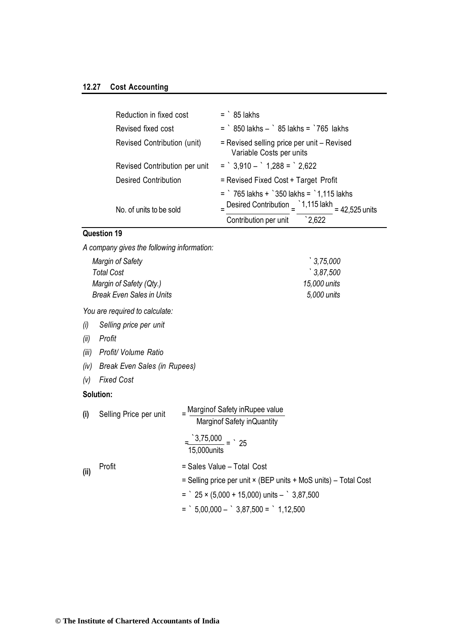#### **12.27 Cost Accounting**

| Reduction in fixed cost       | $=$ $85$ lakhs                                                                                                                                                    |
|-------------------------------|-------------------------------------------------------------------------------------------------------------------------------------------------------------------|
| Revised fixed cost            | $=$ $850$ lakhs $ 85$ lakhs $=$ $765$ lakhs                                                                                                                       |
| Revised Contribution (unit)   | = Revised selling price per unit – Revised<br>Variable Costs per units                                                                                            |
| Revised Contribution per unit | $=$ 3,910 $-$ 1,288 $=$ 2,622                                                                                                                                     |
| <b>Desired Contribution</b>   | = Revised Fixed Cost + Target Profit                                                                                                                              |
| No. of units to be sold       | $=$ $\degree$ 765 lakhs + $\degree$ 350 lakhs = $\degree$ 1,115 lakhs<br>- Desired Contribution $=$ 1,115 lakh = 42,525 units<br>$2.622$<br>Contribution per unit |

### **Question 19**

*A company gives the following information:*

| Margin of Safety                 | $\degree$ 3.75,000 |
|----------------------------------|--------------------|
| Total Cost                       | $\degree$ 3.87.500 |
| Margin of Safety (Qty.)          | 15,000 units       |
| <b>Break Even Sales in Units</b> | 5,000 units        |
|                                  |                    |

*You are required to calculate:*

- *(i) Selling price per unit*
- *(ii) Profit*
- *(iii) Profit/ Volume Ratio*
- *(iv) Break Even Sales (in Rupees)*
- *(v) Fixed Cost*

#### **Solution:**

| (i)   | Selling Price per unit | _ Marginof Safety in Rupee value<br>Marginof Safety inQuantity  |
|-------|------------------------|-----------------------------------------------------------------|
|       |                        | $\frac{(3,75,000)}{25} = 25$<br>15,000units                     |
| (iii) | Profit                 | = Sales Value - Total Cost                                      |
|       |                        | = Selling price per unit × (BEP units + MoS units) – Total Cost |
|       |                        | $=$ $25 \times (5,000 + 15,000)$ units $ 3,87,500$              |
|       |                        | $=$ 5,00,000 $-$ 3,87,500 $=$ 1,12,500                          |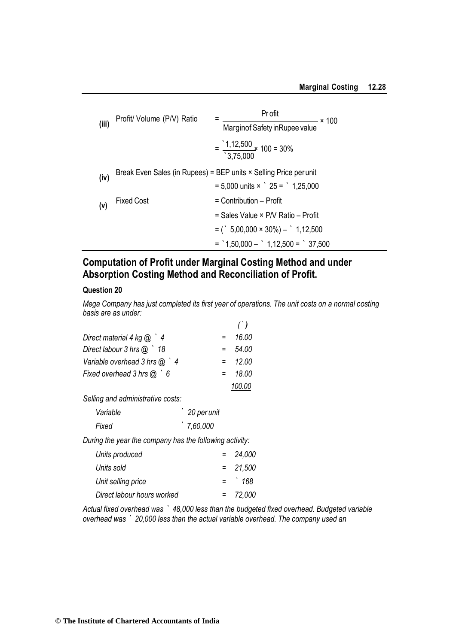|       | Profit/ Volume (P/V) Ratio | Pr ofit<br>$\times$ 100                                                  |
|-------|----------------------------|--------------------------------------------------------------------------|
| (iii) |                            | Marginof Safety in Rupee value                                           |
|       |                            | $=\frac{1,12,500}{10.75,000} \times 100 = 30\%$<br>3,75,000              |
| (iv)  |                            | Break Even Sales (in Rupees) = BEP units $\times$ Selling Price per unit |
|       |                            | $= 5,000$ units $\times$ $\degree$ 25 = $\degree$ 1,25,000               |
| (v)   | <b>Fixed Cost</b>          | $=$ Contribution $-$ Profit                                              |
|       |                            | = Sales Value × P/V Ratio – Profit                                       |
|       |                            | $=$ ( $\frac{1}{2}$ 5,00,000 $\times$ 30%) $ \frac{1}{2}$ 1,12,500       |
|       |                            | $=$ 1,50,000 $-$ 1,12,500 $=$ 37,500                                     |

## **Computation of Profit under Marginal Costing Method and under Absorption Costing Method and Reconciliation of Profit.**

#### **Question 20**

*Mega Company has just completed its first year of operations. The unit costs on a normal costing basis are as under:*

|                                   |     | ( )    |
|-----------------------------------|-----|--------|
| Direct material 4 kg $\omega$ $4$ |     | 16.00  |
| Direct labour $3$ hrs $@$ $'$ 18  |     | 54.00  |
| Variable overhead $3$ hrs $@$ $4$ | $=$ | 12.00  |
| Fixed overhead $3$ hrs $@$ $6$    |     | 18.00  |
|                                   |     | 100.00 |

*Selling and administrative costs:*

| Variable | 20 per unit |
|----------|-------------|
| Fixed    | '7,60,000   |

*During the year the company has the following activity:*

| Units produced             | $= 24,000$ |
|----------------------------|------------|
| Units sold                 | $= 21,500$ |
| Unit selling price         | $=$ 168    |
| Direct labour hours worked | $= 72,000$ |
|                            |            |

*Actual fixed overhead was ` 48,000 less than the budgeted fixed overhead. Budgeted variable overhead was ` 20,000 less than the actual variable overhead. The company used an*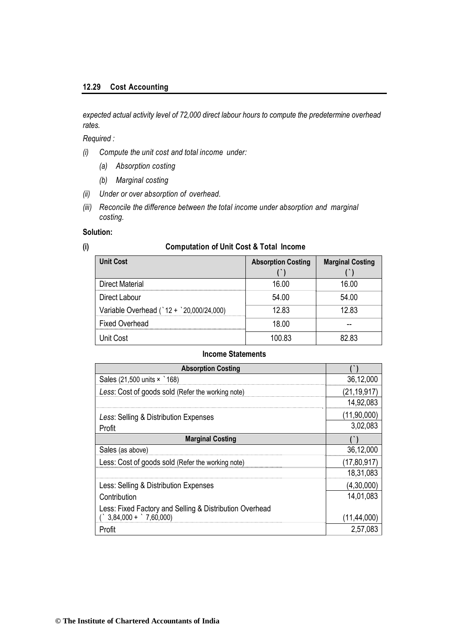*expected actual activity level of 72,000 direct labour hours to compute the predetermine overhead rates.*

*Required :*

- *(i) Compute the unit cost and total income under:*
	- *(a) Absorption costing*
	- *(b) Marginal costing*
- *(ii) Under or over absorption of overhead.*
- *(iii) Reconcile the difference between the total income under absorption and marginal costing.*

#### **Solution:**

#### **(i) Computation of Unit Cost & Total Income**

| <b>Unit Cost</b>                         | <b>Absorption Costing</b> | <b>Marginal Costing</b> |
|------------------------------------------|---------------------------|-------------------------|
| <b>Direct Material</b>                   | 16.00                     | 16.00                   |
| Direct Labour                            | 54.00                     | 54.00                   |
| Variable Overhead (`12 + `20,000/24,000) | 12.83                     | 12.83                   |
| <b>Fixed Overhead</b>                    | 18.00                     |                         |
| Unit Cost                                | 100.83                    | 82.83                   |

#### **Income Statements**

| <b>Absorption Costing</b>                               |               |
|---------------------------------------------------------|---------------|
| Sales (21,500 units × 168)                              | 36,12,000     |
| Less: Cost of goods sold (Refer the working note)       | (21, 19, 917) |
|                                                         | 14,92,083     |
| Less: Selling & Distribution Expenses                   | (11,90,000)   |
| Profit                                                  | 3,02,083      |
| <b>Marginal Costing</b>                                 |               |
| Sales (as above)                                        | 36,12,000     |
| Less: Cost of goods sold (Refer the working note)       | (17,80,917)   |
|                                                         | 18,31,083     |
| Less: Selling & Distribution Expenses                   | (4,30,000)    |
| Contribution                                            | 14,01,083     |
| Less: Fixed Factory and Selling & Distribution Overhead |               |
| $3,84,000 +$ 7,60,000)                                  | (11, 44, 000) |
| Profit                                                  | 2,57,083      |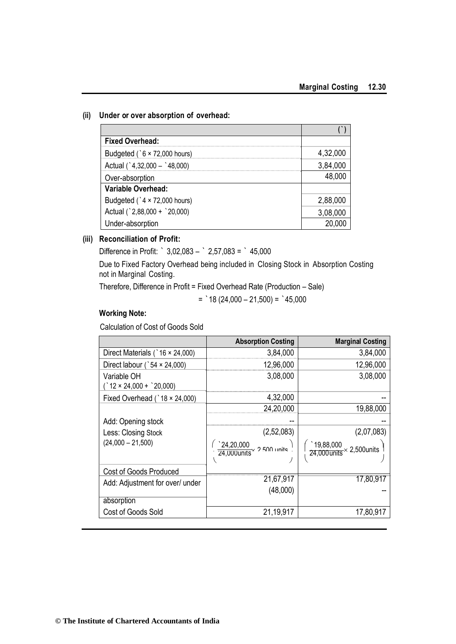#### **(ii) Under or over absorption of overhead:**

| <b>Fixed Overhead:</b>              |          |
|-------------------------------------|----------|
| Budgeted ( $6 \times 72,000$ hours) | 4,32,000 |
| Actual ( $32,000 - 48,000$ )        | 3,84,000 |
| Over-absorption                     | 48,000   |
| <b>Variable Overhead:</b>           |          |
| Budgeted ( $4 \times 72,000$ hours) | 2,88,000 |
| Actual (`2,88,000 + `20,000)        | 3,08,000 |
| Under-absorption                    | 20,000   |

#### **(iii) Reconciliation of Profit:**

Difference in Profit: ` 3,02,083 – ` 2,57,083 = ` 45,000

Due to Fixed Factory Overhead being included in Closing Stock in Absorption Costing not in Marginal Costing.

Therefore, Difference in Profit = Fixed Overhead Rate (Production – Sale)

 $=$  18 (24,000 – 21,500) =  $345,000$ 

#### **Working Note:**

Calculation of Cost of Goods Sold

|                                              | <b>Absorption Costing</b>             | <b>Marginal Costing</b>                                |
|----------------------------------------------|---------------------------------------|--------------------------------------------------------|
| Direct Materials ( $\degree$ 16 × 24,000)    | 3,84,000                              | 3,84,000                                               |
| Direct labour ( $54 \times 24,000$ )         | 12,96,000                             | 12,96,000                                              |
| Variable OH<br>$'$ 12 × 24,000 + $'$ 20,000) | 3,08,000                              | 3,08,000                                               |
| Fixed Overhead ( $\hat{18} \times 24,000$ )  | 4,32,000                              |                                                        |
|                                              | 24,20,000                             | 19,88,000                                              |
| Add: Opening stock                           |                                       |                                                        |
| Less: Closing Stock                          | (2,52,083)                            | (2,07,083)                                             |
| $(24,000 - 21,500)$                          | $\frac{24,20,000}{24,000}$ 2500 units | $\frac{19,88,000}{24,000 \text{ units}}$ × 2,500 units |
| <b>Cost of Goods Produced</b>                |                                       |                                                        |
| Add: Adjustment for over/ under              | 21,67,917                             | 17,80,917                                              |
|                                              | (48,000)                              |                                                        |
| absorption                                   |                                       |                                                        |
| Cost of Goods Sold                           | 21,19,917                             | 17,80,917                                              |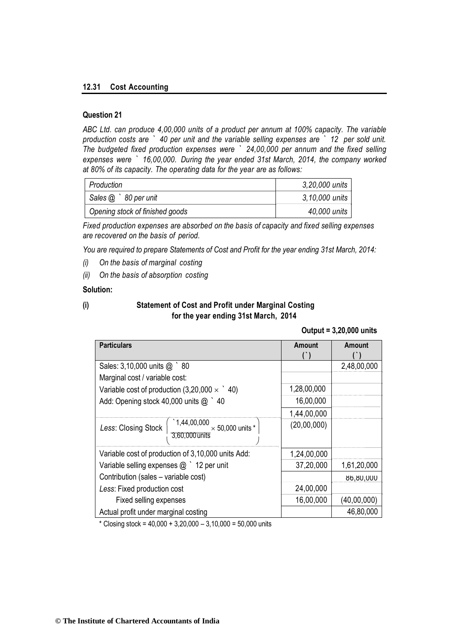#### **12.31 Cost Accounting**

#### **Question 21**

*ABC Ltd. can produce 4,00,000 units of a product per annum at 100% capacity. The variable production costs are ` 40 per unit and the variable selling expenses are ` 12 per sold unit. The budgeted fixed production expenses were ` 24,00,000 per annum and the fixed selling expenses were ` 16,00,000. During the year ended 31st March, 2014, the company worked at 80% of its capacity. The operating data for the year are as follows:*

| Production                      | 3,20,000 units |
|---------------------------------|----------------|
| Sales $@$ $80$ per unit         | 3,10,000 units |
| Opening stock of finished goods | 40,000 units   |

*Fixed production expenses are absorbed on the basis of capacity and fixed selling expenses are recovered on the basis of period.*

*You are required to prepare Statements of Cost and Profit for the year ending 31st March, 2014:*

- *(i) On the basis of marginal costing*
- *(ii) On the basis of absorption costing*

#### **Solution:**

#### **(i) Statement of Cost and Profit under Marginal Costing for the year ending 31st March, 2014**

#### **Output = 3,20,000 units**

| <b>Particulars</b>                                                                              | Amount      | <b>Amount</b> |
|-------------------------------------------------------------------------------------------------|-------------|---------------|
|                                                                                                 |             |               |
| Sales: 3,10,000 units @ 80                                                                      |             | 2,48,00,000   |
| Marginal cost / variable cost:                                                                  |             |               |
| Variable cost of production $(3,20,000 \times 40)$                                              | 1,28,00,000 |               |
| Add: Opening stock 40,000 units @ 10                                                            | 16,00,000   |               |
|                                                                                                 | 1,44,00,000 |               |
| $\frac{1,44,00,000}{3,60,000 \text{ units}} \times 50,000 \text{ units}$<br>Less: Closing Stock | (20,00,000) |               |
| Variable cost of production of 3,10,000 units Add:                                              | 1,24,00,000 |               |
| Variable selling expenses $@$ $'$ 12 per unit                                                   | 37,20,000   | 1,61,20,000   |
| Contribution (sales - variable cost)                                                            |             | 000,00,00     |
| Less: Fixed production cost                                                                     | 24,00,000   |               |
| Fixed selling expenses                                                                          | 16,00,000   | (40,00,000)   |
| Actual profit under marginal costing                                                            |             | 46,80,000     |

\* Closing stock = 40,000 + 3,20,000 – 3,10,000 = 50,000 units